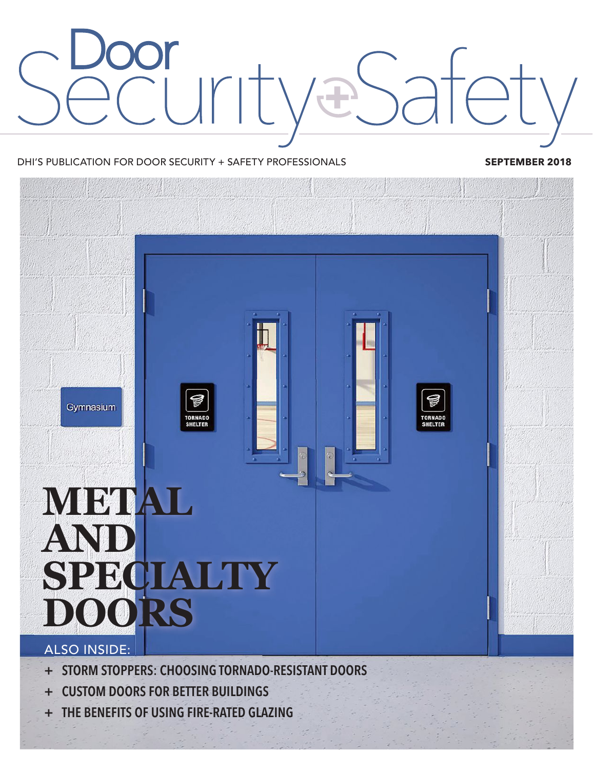# E

#### DHI'S PUBLICATION FOR DOOR SECURITY + SAFETY PROFESSIONALS **SEPTEMBER 2018**



- **+ STORM STOPPERS: CHOOSING TORNADO-RESISTANT DOORS**
- **+ CUSTOM DOORS FOR BETTER BUILDINGS**
- **+ THE BENEFITS OF USING FIRE-RATED GLAZING**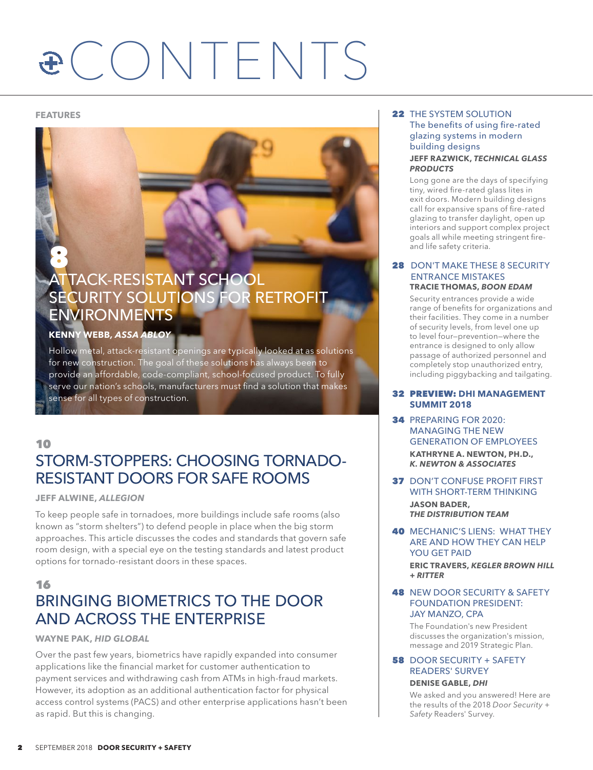# $\mathbf{E}$  **CONTENTS**

8

### ATTACK-RESISTANT SCHOOL SECURITY SOLUTIONS FOR RETROFIT ENVIRONMENTS

#### **KENNY WEBB***, ASSA ABLOY*

Hollow metal, attack-resistant openings are typically looked at as solutions for new construction. The goal of these solutions has always been to provide an affordable, code-compliant, school-focused product. To fully serve our nation's schools, manufacturers must find a solution that makes sense for all types of construction.

#### 10 STORM-STOPPERS: CHOOSING TORNADO-RESISTANT DOORS FOR SAFE ROOMS

#### **JEFF ALWINE,** *ALLEGION*

To keep people safe in tornadoes, more buildings include safe rooms (also known as "storm shelters") to defend people in place when the big storm approaches. This article discusses the codes and standards that govern safe room design, with a special eye on the testing standards and latest product options for tornado-resistant doors in these spaces.

#### 16 BRINGING BIOMETRICS TO THE DOOR AND ACROSS THE ENTERPRISE

#### **WAYNE PAK,** *HID GLOBAL*

Over the past few years, biometrics have rapidly expanded into consumer applications like the financial market for customer authentication to payment services and withdrawing cash from ATMs in high-fraud markets. However, its adoption as an additional authentication factor for physical access control systems (PACS) and other enterprise applications hasn't been as rapid. But this is changing.

#### **FEATURES** 22 THE SYSTEM SOLUTION The benefits of using fire-rated glazing systems in modern building designs **JEFF RAZWICK,** *TECHNICAL GLASS PRODUCTS*

Long gone are the days of specifying tiny, wired fire-rated glass lites in exit doors. Modern building designs call for expansive spans of fire-rated glazing to transfer daylight, open up interiors and support complex project goals all while meeting stringent fireand life safety criteria.

#### **28 DON'T MAKE THESE 8 SECURITY**  ENTRANCE MISTAKES **TRACIE THOMAS,** *BOON EDAM*

Security entrances provide a wide range of benefits for organizations and their facilities. They come in a number of security levels, from level one up to level four-prevention-where the entrance is designed to only allow passage of authorized personnel and completely stop unauthorized entry, including piggybacking and tailgating.

#### 32 PREVIEW: **DHI MANAGEMENT SUMMIT 2018**

- 34 PREPARING FOR 2020: MANAGING THE NEW GENERATION OF EMPLOYEES **KATHRYNE A. NEWTON, PH.D.,** *K. NEWTON & ASSOCIATES*
- **37 DON'T CONFUSE PROFIT FIRST** WITH SHORT-TERM THINKING **JASON BADER,** *THE DISTRIBUTION TEAM*
- 40 MECHANIC'S LIENS: WHAT THEY ARE AND HOW THEY CAN HELP YOU GET PAID **ERIC TRAVERS,** *KEGLER BROWN HILL + RITTER*

#### **48 NEW DOOR SECURITY & SAFETY** FOUNDATION PRESIDENT: JAY MANZO, CPA

The Foundation's new President discusses the organization's mission, message and 2019 Strategic Plan.

#### **58** DOOR SECURITY + SAFETY READERS' SURVEY **DENISE GABLE,** *DHI*

We asked and you answered! Here are the results of the 2018 Door Security + Safety Readers' Survey.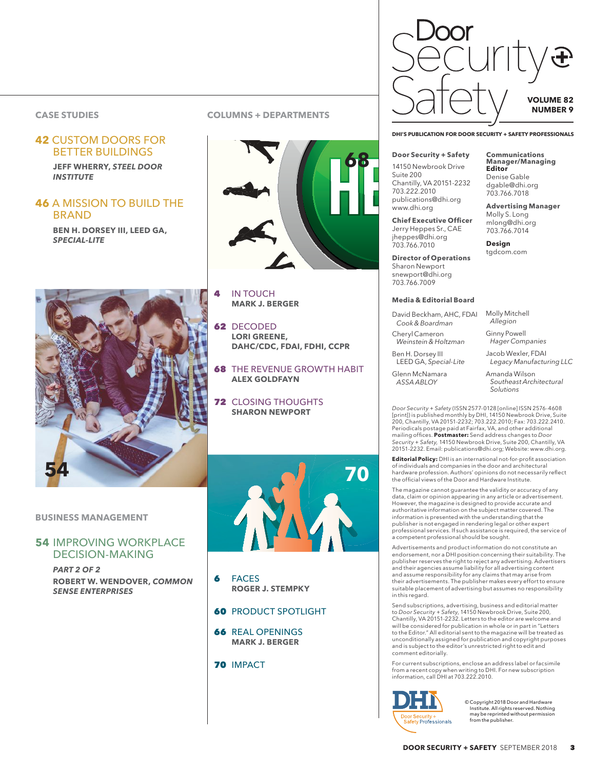#### **CASE STUDIES**

## BETTER BUILDINGS

**JEFF WHERRY,** *STEEL DOOR INSTITUTE*

#### **46** A MISSION TO BUILD THE BRAND

**BEN H. DORSEY III, LEED GA,**  *SPECIAL-LITE*



#### **BUSINESS MANAGEMENT**

#### **54** IMPROVING WORKPLACE DECISION-MAKING

*PART 2 OF 2*  **ROBERT W. WENDOVER,** *COMMON SENSE ENTERPRISES*

#### **COLUMNS + DEPARTMENTS**



- 4 IN TOUCH **MARK J. BERGER**
- 62 DECODED **LORI GREENE, DAHC/CDC, FDAI, FDHI, CCPR**
- **68 THE REVENUE GROWTH HABIT ALEX GOLDFAYN**
- **72 CLOSING THOUGHTS SHARON NEWPORT**



6 FACES **ROGER J. STEMPKY**

#### **60 PRODUCT SPOTLIGHT**

- 66 REAL OPENINGS **MARK J. BERGER**
- 70 IMPACT



#### **Door Security + Safety**

14150 Newbrook Drive Suite 200 Chantilly, VA 20151-2232 703.222.2010 publications@dhi.org www.dhi.org

**Chief Executive Officer** Jerry Heppes Sr., CAE jheppes@dhi.org 703.766.7010

**Director of Operations** Sharon Newport snewport@dhi.org 703.766.7009

#### **Media & Editorial Board**

David Beckham, AHC, FDAI *Cook & Boardman*  Cheryl Cameron

*Weinstein & Holtzman* Ben H. Dorsey III

*Hager Companies* Jacob Wexler, FDAI

LEED GA, Special-Lite

Glenn McNamara *ASSA ABLOY* 

**Manager/Managing Editor**  Denise Gable dgable@dhi.org 703.766.7018

**Communications** 

**Advertising Manager** Molly S. Long mlong@dhi.org 703.766.7014

**Design** tgdcom.com

Molly Mitchell *Allegion* Ginny Powell

Amanda Wilson *Southeast Architectural Solutions* 

*Legacy Manufacturing LLC*

*Door Security + Safety* (ISSN 2577-0128 [online] ISSN 2576-4608 [print]) is published monthly by DHI, 14150 Newbrook Drive, Suite<br>200, Chantilly, VA 20151-2232; 703.222.2010; Fax: 703.222.2410.<br>Periodicals postage paid at Fairfax, VA, and other additional mailing offices. **Postmaster:** Send address changes to *Door*<br>Sec*urity + Safety, 1*4150 Newbrook Drive, Suite 200, Chantilly, VA 20151-2232. Email: publications@dhi.org; Website: www.dhi.org.

**Editorial Policy:** DHI is an international not-for-profit association of individuals and companies in the door and architectural<br>hardware profession. Authors' opinions do not necessarily reflect the official views of the Door and Hardware Institute.

The magazine cannot guarantee the validity or accuracy of any data, claim or opinion appearing in any article or advertisement.<br>However, the magazine is designed to provide accurate and authoritative information on the subject matter covered. The information is presented with the understanding that the<br>publisher is not engaged in rendering legal or other expert professional services. If such assistance is required, the service of .<br>a competent professional should be sought.

Advertisements and product information do not constitute an HORD HORDING THE PERSON HORDING THE HORDING THE HORDING THE HORDING THE endorsement, nor a DHI position concerning their suitability. The publisher reserves the right to reject any advertising. Advertisers<br>and their agencies assume liability for all advertising content<br>and assume responsibility for any claims that may arise from their advertisements. The publisher makes every effort to ensure suitable placement of advertising but assumes no responsibility in this regard.

Send subscriptions, advertising, business and editorial matter<br>to *Door Security + Safety,* 14150 Newbrook Drive, Suite 200,<br>Chantilly, VA 20151-2232. Letters to the editor are welcome and will be considered for publication in whole or in part in "Letters to the Editor." All editorial sent to the magazine will be treated as<br>unconditionally assigned for publication and copyright purposes and is subject to the editor's unrestricted right to edit and comment editorially.

For current subscriptions, enclose an address label or facsimile from a recent copy when writing to DHI. For new subscription information, call DHI at 703.222.2010.



© Copyright 2018 Door and Hardware<br>Institute. All rights reserved. Nothing<br>may be reprinted without permission from the publisher.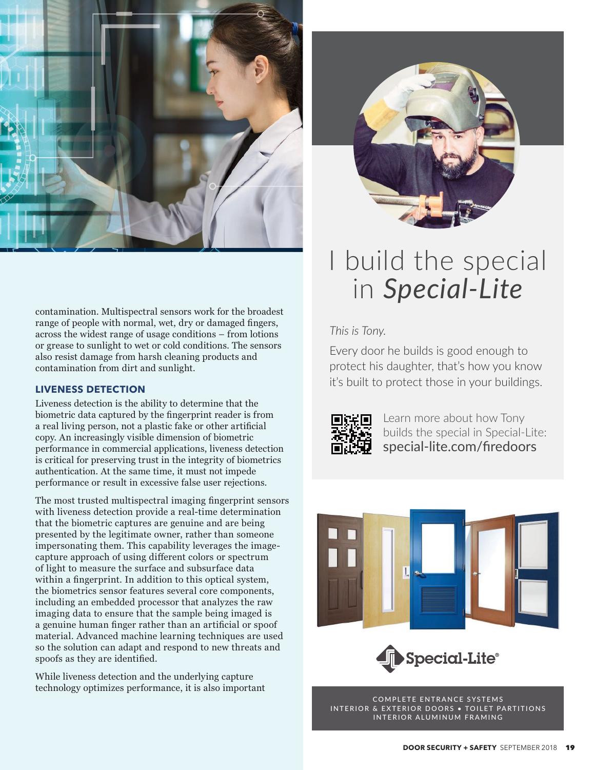

contamination. Multispectral sensors work for the broadest range of people with normal, wet, dry or damaged fingers, across the widest range of usage conditions - from lotions or grease to sunlight to wet or cold conditions. The sensors also resist damage from harsh cleaning products and contamination from dirt and sunlight.

#### **LIVENESS DETECTION**

Liveness detection is the ability to determine that the biometric data captured by the fingerprint reader is from a real living person, not a plastic fake or other artificial copy. An increasingly visible dimension of biometric performance in commercial applications, liveness detection is critical for preserving trust in the integrity of biometrics authentication. At the same time, it must not impede performance or result in excessive false user rejections.

The most trusted multispectral imaging fingerprint sensors with liveness detection provide a real-time determination that the biometric captures are genuine and are being presented by the legitimate owner, rather than someone impersonating them. This capability leverages the imagecapture approach of using different colors or spectrum of light to measure the surface and subsurface data within a fingerprint. In addition to this optical system, the biometrics sensor features several core components, including an embedded processor that analyzes the raw imaging data to ensure that the sample being imaged is a genuine human finger rather than an artificial or spoof material. Advanced machine learning techniques are used so the solution can adapt and respond to new threats and spoofs as they are identified.

While liveness detection and the underlying capture technology optimizes performance, it is also important



# I build the special in Special-Lite

This is Tony.

Every door he builds is good enough to protect his daughter, that's how you know it's built to protect those in your buildings.



Learn more about how Tony builds the special in Special-Lite: special-lite.com/firedoors





COMPLETE ENTRANCE SYSTEMS INTERIOR & EXTERIOR DOORS . TOILET PARTITIONS INTERIOR ALUMINUM FRAMING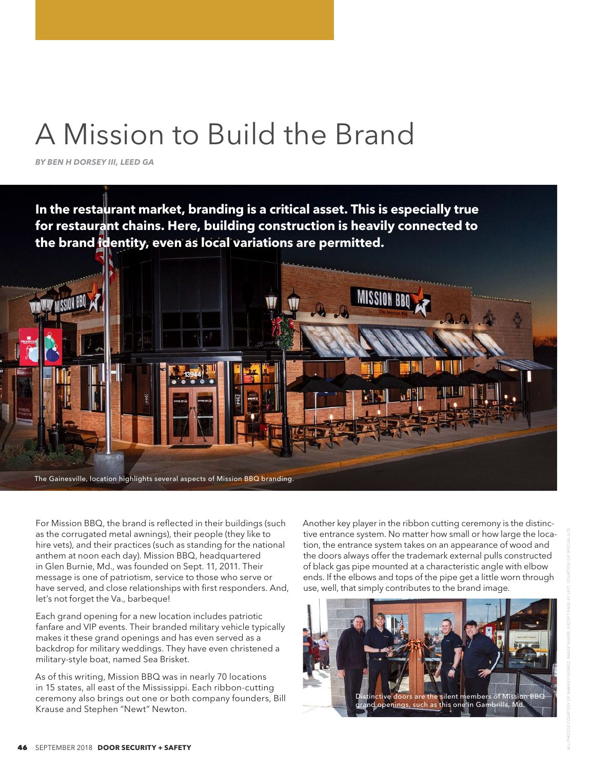# A Mission to Build the Brand

**BY BEN H DORSEY III, LEED GA** 

In the restaurant market, branding is a critical asset. This is especially true<br>for restaurant chains. Here, building construction is heavily connected to the brand identity, even as local variations are permitted.



For Mission BBQ, the brand is reflected in their buildings (such as the corrugated metal awnings), their people (they like to hire vets), and their practices (such as standing for the national anthem at noon each day). Mission BBQ, headquartered in Glen Burnie, Md., was founded on Sept. 11, 2011. Their message is one of patriotism, service to those who serve or have served, and close relationships with first responders. And, let's not forget the Va., barbeque!

Each grand opening for a new location includes patriotic fanfare and VIP events. Their branded military vehicle typically makes it these grand openings and has even served as a backdrop for military weddings. They have even christened a military-style boat, named Sea Brisket.

As of this writing, Mission BBQ was in nearly 70 locations in 15 states, all east of the Mississippi. Each ribbon-cutting ceremony also brings out one or both company founders, Bill Krause and Stephen "Newt" Newton.

Another key player in the ribbon cutting ceremony is the distinctive entrance system. No matter how small or how large the location, the entrance system takes on an appearance of wood and the doors always offer the trademark external pulls constructed of black gas pipe mounted at a characteristic angle with elbow ends. If the elbows and tops of the pipe get a little worn through use, well, that simply contributes to the brand image.

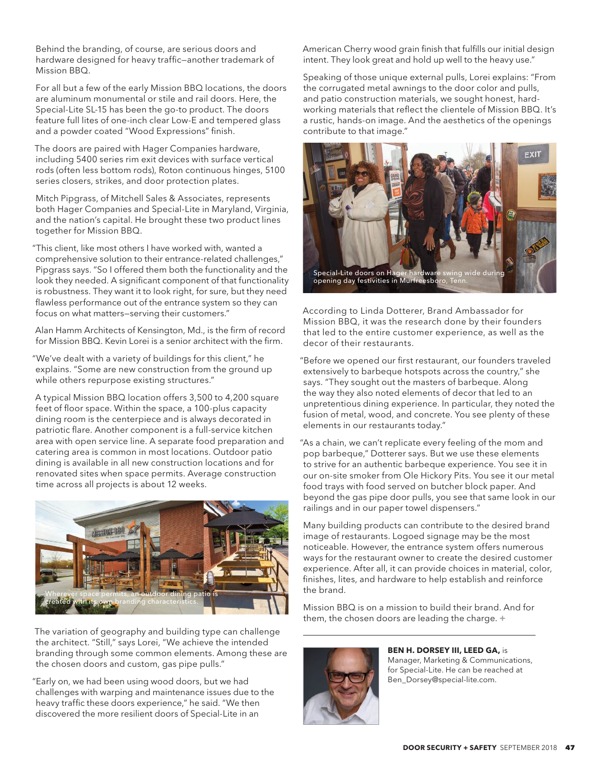Behind the branding, of course, are serious doors and hardware designed for heavy traffic-another trademark of Mission BBQ.

For all but a few of the early Mission BBQ locations, the doors are aluminum monumental or stile and rail doors. Here, the Special-Lite SL-15 has been the go-to product. The doors feature full lites of one-inch clear Low-E and tempered glass and a powder coated "Wood Expressions" finish.

The doors are paired with Hager Companies hardware, including 5400 series rim exit devices with surface vertical rods (often less bottom rods), Roton continuous hinges, 5100 series closers, strikes, and door protection plates.

Mitch Pipgrass, of Mitchell Sales & Associates, represents both Hager Companies and Special-Lite in Maryland, Virginia, and the nation's capital. He brought these two product lines together for Mission BBQ.

"This client, like most others I have worked with, wanted a comprehensive solution to their entrance-related challenges," Pipgrass says. "So I offered them both the functionality and the look they needed. A significant component of that functionality is robustness. They want it to look right, for sure, but they need flawless performance out of the entrance system so they can focus on what matters-serving their customers."

Alan Hamm Architects of Kensington, Md., is the firm of record for Mission BBQ. Kevin Lorei is a senior architect with the firm.

"We've dealt with a variety of buildings for this client," he explains. "Some are new construction from the ground up while others repurpose existing structures."

A typical Mission BBQ location offers 3,500 to 4,200 square feet of floor space. Within the space, a 100-plus capacity dining room is the centerpiece and is always decorated in patriotic flare. Another component is a full-service kitchen area with open service line. A separate food preparation and catering area is common in most locations. Outdoor patio dining is available in all new construction locations and for renovated sites when space permits. Average construction time across all projects is about 12 weeks.



The variation of geography and building type can challenge the architect. "Still," says Lorei, "We achieve the intended branding through some common elements. Among these are the chosen doors and custom, gas pipe pulls."

"Early on, we had been using wood doors, but we had challenges with warping and maintenance issues due to the heavy traffic these doors experience," he said. "We then discovered the more resilient doors of Special-Lite in an

American Cherry wood grain finish that fulfills our initial design intent. They look great and hold up well to the heavy use."

Speaking of those unique external pulls, Lorei explains: "From the corrugated metal awnings to the door color and pulls, and patio construction materials, we sought honest, hardworking materials that reflect the clientele of Mission BBQ. It's a rustic, hands-on image. And the aesthetics of the openings contribute to that image."



According to Linda Dotterer, Brand Ambassador for Mission BBQ, it was the research done by their founders that led to the entire customer experience, as well as the decor of their restaurants.

"Before we opened our first restaurant, our founders traveled extensively to barbeque hotspots across the country," she says. "They sought out the masters of barbeque. Along the way they also noted elements of decor that led to an unpretentious dining experience. In particular, they noted the fusion of metal, wood, and concrete. You see plenty of these elements in our restaurants today."

"As a chain, we can't replicate every feeling of the mom and pop barbeque," Dotterer says. But we use these elements to strive for an authentic barbeque experience. You see it in our on-site smoker from Ole Hickory Pits. You see it our metal food trays with food served on butcher block paper. And beyond the gas pipe door pulls, you see that same look in our railings and in our paper towel dispensers."

Many building products can contribute to the desired brand image of restaurants. Logoed signage may be the most noticeable. However, the entrance system offers numerous ways for the restaurant owner to create the desired customer experience. After all, it can provide choices in material, color, finishes, lites, and hardware to help establish and reinforce the brand.

Mission BBQ is on a mission to build their brand. And for them, the chosen doors are leading the charge. +



**BEN H. DORSEY III, LEED GA, is** Manager, Marketing & Communications, for Special-Lite. He can be reached at Ben\_Dorsey@special-lite.com.